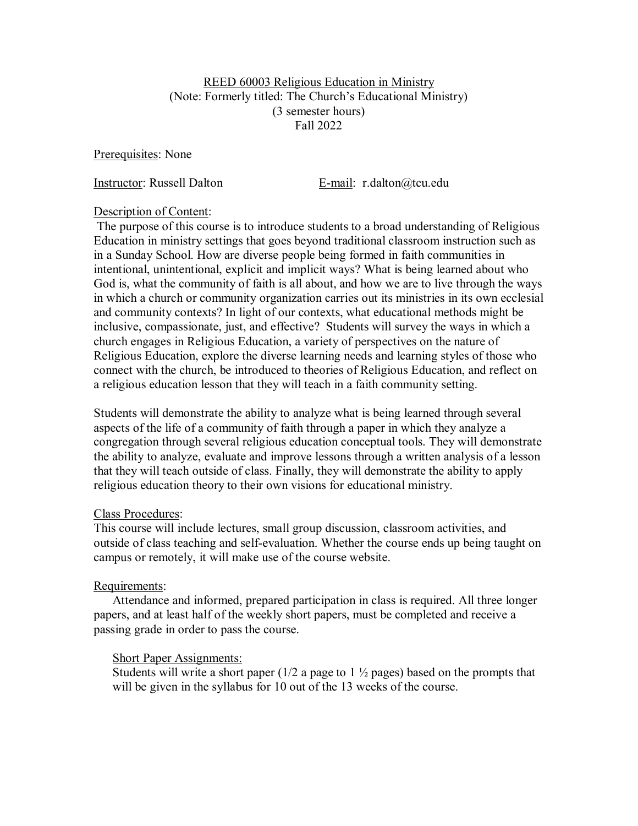#### REED 60003 Religious Education in Ministry (Note: Formerly titled: The Church's Educational Ministry) (3 semester hours) Fall 2022

Prerequisites: None

Instructor: Russell Dalton E-mail: r.dalton@tcu.edu

### Description of Content:

The purpose of this course is to introduce students to a broad understanding of Religious Education in ministry settings that goes beyond traditional classroom instruction such as in a Sunday School. How are diverse people being formed in faith communities in intentional, unintentional, explicit and implicit ways? What is being learned about who God is, what the community of faith is all about, and how we are to live through the ways in which a church or community organization carries out its ministries in its own ecclesial and community contexts? In light of our contexts, what educational methods might be inclusive, compassionate, just, and effective? Students will survey the ways in which a church engages in Religious Education, a variety of perspectives on the nature of Religious Education, explore the diverse learning needs and learning styles of those who connect with the church, be introduced to theories of Religious Education, and reflect on a religious education lesson that they will teach in a faith community setting.

Students will demonstrate the ability to analyze what is being learned through several aspects of the life of a community of faith through a paper in which they analyze a congregation through several religious education conceptual tools. They will demonstrate the ability to analyze, evaluate and improve lessons through a written analysis of a lesson that they will teach outside of class. Finally, they will demonstrate the ability to apply religious education theory to their own visions for educational ministry.

### Class Procedures:

This course will include lectures, small group discussion, classroom activities, and outside of class teaching and self-evaluation. Whether the course ends up being taught on campus or remotely, it will make use of the course website.

### Requirements:

Attendance and informed, prepared participation in class is required. All three longer papers, and at least half of the weekly short papers, must be completed and receive a passing grade in order to pass the course.

### Short Paper Assignments:

Students will write a short paper  $(1/2$  a page to  $1\frac{1}{2}$  pages) based on the prompts that will be given in the syllabus for 10 out of the 13 weeks of the course.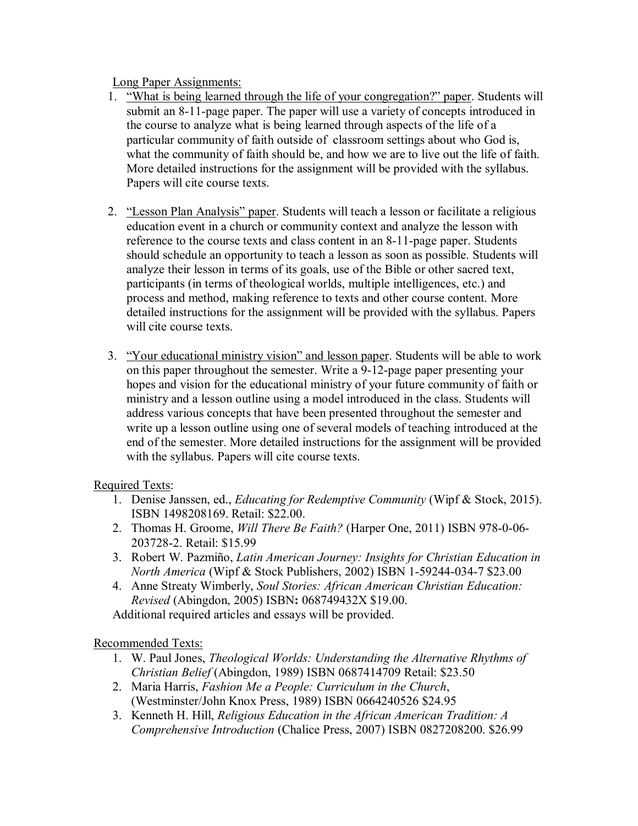Long Paper Assignments:

- 1. "What is being learned through the life of your congregation?" paper. Students will submit an 8-11-page paper. The paper will use a variety of concepts introduced in the course to analyze what is being learned through aspects of the life of a particular community of faith outside of classroom settings about who God is, what the community of faith should be, and how we are to live out the life of faith. More detailed instructions for the assignment will be provided with the syllabus. Papers will cite course texts.
- 2. "Lesson Plan Analysis" paper. Students will teach a lesson or facilitate a religious education event in a church or community context and analyze the lesson with reference to the course texts and class content in an 8-11-page paper. Students should schedule an opportunity to teach a lesson as soon as possible. Students will analyze their lesson in terms of its goals, use of the Bible or other sacred text, participants (in terms of theological worlds, multiple intelligences, etc.) and process and method, making reference to texts and other course content. More detailed instructions for the assignment will be provided with the syllabus. Papers will cite course texts.
- 3. "Your educational ministry vision" and lesson paper. Students will be able to work on this paper throughout the semester. Write a 9-12-page paper presenting your hopes and vision for the educational ministry of your future community of faith or ministry and a lesson outline using a model introduced in the class. Students will address various concepts that have been presented throughout the semester and write up a lesson outline using one of several models of teaching introduced at the end of the semester. More detailed instructions for the assignment will be provided with the syllabus. Papers will cite course texts.

# Required Texts:

- 1. Denise Janssen, ed., *Educating for Redemptive Community* (Wipf & Stock, 2015). ISBN 1498208169. Retail: \$22.00.
- 2. Thomas H. Groome, *Will There Be Faith?* (Harper One, 2011) ISBN 978-0-06- 203728-2. Retail: \$15.99
- 3. Robert W. Pazmiño, *Latin American Journey: Insights for Christian Education in North America* (Wipf & Stock Publishers, 2002) ISBN 1-59244-034-7 \$23.00
- 4. Anne Streaty Wimberly, *Soul Stories: African American Christian Education: Revised* (Abingdon, 2005) ISBN**:** 068749432X \$19.00.

Additional required articles and essays will be provided.

# Recommended Texts:

- 1. W. Paul Jones, *Theological Worlds: Understanding the Alternative Rhythms of Christian Belief* (Abingdon, 1989) ISBN 0687414709 Retail: \$23.50
- 2. Maria Harris, *Fashion Me a People: Curriculum in the Church*, (Westminster/John Knox Press, 1989) ISBN 0664240526 \$24.95
- 3. Kenneth H. Hill, *Religious Education in the African American Tradition: A Comprehensive Introduction* (Chalice Press, 2007) ISBN 0827208200. \$26.99